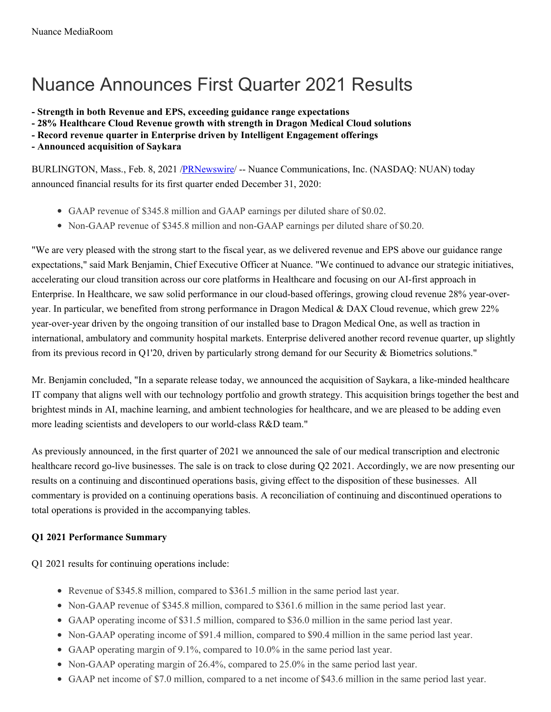# Nuance Announces First Quarter 2021 Results

**- Strength in both Revenue and EPS, exceeding guidance range expectations**

**- 28% Healthcare Cloud Revenue growth with strength in Dragon Medical Cloud solutions**

**- Record revenue quarter in Enterprise driven by Intelligent Engagement offerings**

**- Announced acquisition of Saykara**

BURLINGTON, Mass., Feb. 8, 2021 [/PRNewswire](http://www.prnewswire.com/)/ -- Nuance Communications, Inc. (NASDAQ: NUAN) today announced financial results for its first quarter ended December 31, 2020:

- GAAP revenue of \$345.8 million and GAAP earnings per diluted share of \$0.02.
- Non-GAAP revenue of \$345.8 million and non-GAAP earnings per diluted share of \$0.20.

"We are very pleased with the strong start to the fiscal year, as we delivered revenue and EPS above our guidance range expectations," said Mark Benjamin, Chief Executive Officer at Nuance. "We continued to advance our strategic initiatives, accelerating our cloud transition across our core platforms in Healthcare and focusing on our AI-first approach in Enterprise. In Healthcare, we saw solid performance in our cloud-based offerings, growing cloud revenue 28% year-overyear. In particular, we benefited from strong performance in Dragon Medical & DAX Cloud revenue, which grew 22% year-over-year driven by the ongoing transition of our installed base to Dragon Medical One, as well as traction in international, ambulatory and community hospital markets. Enterprise delivered another record revenue quarter, up slightly from its previous record in Q1'20, driven by particularly strong demand for our Security & Biometrics solutions."

Mr. Benjamin concluded, "In a separate release today, we announced the acquisition of Saykara, a like-minded healthcare IT company that aligns well with our technology portfolio and growth strategy. This acquisition brings together the best and brightest minds in AI, machine learning, and ambient technologies for healthcare, and we are pleased to be adding even more leading scientists and developers to our world-class R&D team."

As previously announced, in the first quarter of 2021 we announced the sale of our medical transcription and electronic healthcare record go-live businesses. The sale is on track to close during Q2 2021. Accordingly, we are now presenting our results on a continuing and discontinued operations basis, giving effect to the disposition of these businesses. All commentary is provided on a continuing operations basis. A reconciliation of continuing and discontinued operations to total operations is provided in the accompanying tables.

# **Q1 2021 Performance Summary**

Q1 2021 results for continuing operations include:

- Revenue of \$345.8 million, compared to \$361.5 million in the same period last year.
- Non-GAAP revenue of \$345.8 million, compared to \$361.6 million in the same period last year.
- GAAP operating income of \$31.5 million, compared to \$36.0 million in the same period last year.
- Non-GAAP operating income of \$91.4 million, compared to \$90.4 million in the same period last year.
- GAAP operating margin of 9.1%, compared to 10.0% in the same period last year.
- Non-GAAP operating margin of 26.4%, compared to 25.0% in the same period last year.
- GAAP net income of \$7.0 million, compared to a net income of \$43.6 million in the same period last year.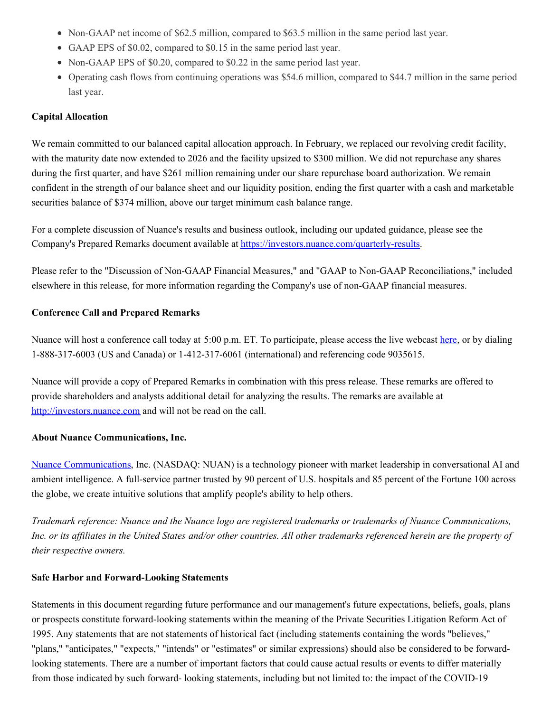- Non-GAAP net income of \$62.5 million, compared to \$63.5 million in the same period last year.
- GAAP EPS of \$0.02, compared to \$0.15 in the same period last year.
- Non-GAAP EPS of \$0.20, compared to \$0.22 in the same period last year.
- Operating cash flows from continuing operations was \$54.6 million, compared to \$44.7 million in the same period last year.

## **Capital Allocation**

We remain committed to our balanced capital allocation approach. In February, we replaced our revolving credit facility, with the maturity date now extended to 2026 and the facility upsized to \$300 million. We did not repurchase any shares during the first quarter, and have \$261 million remaining under our share repurchase board authorization. We remain confident in the strength of our balance sheet and our liquidity position, ending the first quarter with a cash and marketable securities balance of \$374 million, above our target minimum cash balance range.

For a complete discussion of Nuance's results and business outlook, including our updated guidance, please see the Company's Prepared Remarks document available at [https://investors.nuance.com/quarterly-results](https://c212.net/c/link/?t=0&l=en&o=3059986-1&h=671198260&u=https%3A%2F%2Finvestors.nuance.com%2Fquarterly-results&a=https%3A%2F%2Finvestors.nuance.com%2Fquarterly-results).

Please refer to the "Discussion of Non-GAAP Financial Measures," and "GAAP to Non-GAAP Reconciliations," included elsewhere in this release, for more information regarding the Company's use of non-GAAP financial measures.

## **Conference Call and Prepared Remarks**

Nuance will host a conference call today at  $5:00$  p.m. ET. To participate, please access the live webcast [here](https://c212.net/c/link/?t=0&l=en&o=3059986-1&h=741877450&u=https%3A%2F%2Fwww.webcaster4.com%2FWebcast%2FPage%2F2424%2F39523&a=here), or by dialing 1-888-317-6003 (US and Canada) or 1-412-317-6061 (international) and referencing code 9035615.

Nuance will provide a copy of Prepared Remarks in combination with this press release. These remarks are offered to provide shareholders and analysts additional detail for analyzing the results. The remarks are available at [http://investors.nuance.com](https://c212.net/c/link/?t=0&l=en&o=3059986-1&h=3665849812&u=https%3A%2F%2Finvestors.nuance.com%2F&a=http%3A%2F%2Finvestors.nuance.com) and will not be read on the call.

# **About Nuance Communications, Inc.**

Nuance [Communications](https://c212.net/c/link/?t=0&l=en&o=3059986-1&h=1787903545&u=http%3A%2F%2Fwww.nuance.com%2F&a=Nuance+Communications), Inc. (NASDAQ: NUAN) is a technology pioneer with market leadership in conversational AI and ambient intelligence. A full-service partner trusted by 90 percent of U.S. hospitals and 85 percent of the Fortune 100 across the globe, we create intuitive solutions that amplify people's ability to help others.

*Trademark reference: Nuance and the Nuance logo are registered trademarks or trademarks of Nuance Communications,* Inc. or its affiliates in the United States and/or other countries. All other trademarks referenced herein are the property of *their respective owners.*

# **Safe Harbor and Forward-Looking Statements**

Statements in this document regarding future performance and our management's future expectations, beliefs, goals, plans or prospects constitute forward-looking statements within the meaning of the Private Securities Litigation Reform Act of 1995. Any statements that are not statements of historical fact (including statements containing the words "believes," "plans," "anticipates," "expects," "intends" or "estimates" or similar expressions) should also be considered to be forwardlooking statements. There are a number of important factors that could cause actual results or events to differ materially from those indicated by such forward- looking statements, including but not limited to: the impact of the COVID-19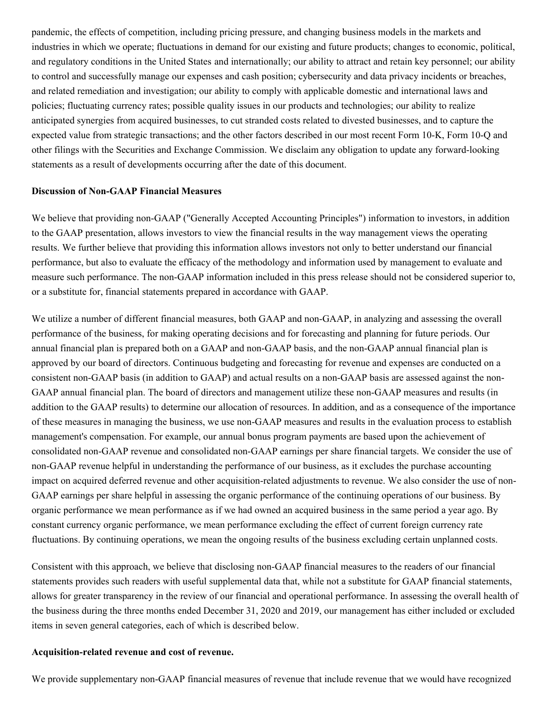pandemic, the effects of competition, including pricing pressure, and changing business models in the markets and industries in which we operate; fluctuations in demand for our existing and future products; changes to economic, political, and regulatory conditions in the United States and internationally; our ability to attract and retain key personnel; our ability to control and successfully manage our expenses and cash position; cybersecurity and data privacy incidents or breaches, and related remediation and investigation; our ability to comply with applicable domestic and international laws and policies; fluctuating currency rates; possible quality issues in our products and technologies; our ability to realize anticipated synergies from acquired businesses, to cut stranded costs related to divested businesses, and to capture the expected value from strategic transactions; and the other factors described in our most recent Form 10-K, Form 10-Q and other filings with the Securities and Exchange Commission. We disclaim any obligation to update any forward-looking statements as a result of developments occurring after the date of this document.

## **Discussion of Non-GAAP Financial Measures**

We believe that providing non-GAAP ("Generally Accepted Accounting Principles") information to investors, in addition to the GAAP presentation, allows investors to view the financial results in the way management views the operating results. We further believe that providing this information allows investors not only to better understand our financial performance, but also to evaluate the efficacy of the methodology and information used by management to evaluate and measure such performance. The non-GAAP information included in this press release should not be considered superior to, or a substitute for, financial statements prepared in accordance with GAAP.

We utilize a number of different financial measures, both GAAP and non-GAAP, in analyzing and assessing the overall performance of the business, for making operating decisions and for forecasting and planning for future periods. Our annual financial plan is prepared both on a GAAP and non-GAAP basis, and the non-GAAP annual financial plan is approved by our board of directors. Continuous budgeting and forecasting for revenue and expenses are conducted on a consistent non-GAAP basis (in addition to GAAP) and actual results on a non-GAAP basis are assessed against the non-GAAP annual financial plan. The board of directors and management utilize these non-GAAP measures and results (in addition to the GAAP results) to determine our allocation of resources. In addition, and as a consequence of the importance of these measures in managing the business, we use non-GAAP measures and results in the evaluation process to establish management's compensation. For example, our annual bonus program payments are based upon the achievement of consolidated non-GAAP revenue and consolidated non-GAAP earnings per share financial targets. We consider the use of non-GAAP revenue helpful in understanding the performance of our business, as it excludes the purchase accounting impact on acquired deferred revenue and other acquisition-related adjustments to revenue. We also consider the use of non-GAAP earnings per share helpful in assessing the organic performance of the continuing operations of our business. By organic performance we mean performance as if we had owned an acquired business in the same period a year ago. By constant currency organic performance, we mean performance excluding the effect of current foreign currency rate fluctuations. By continuing operations, we mean the ongoing results of the business excluding certain unplanned costs.

Consistent with this approach, we believe that disclosing non-GAAP financial measures to the readers of our financial statements provides such readers with useful supplemental data that, while not a substitute for GAAP financial statements, allows for greater transparency in the review of our financial and operational performance. In assessing the overall health of the business during the three months ended December 31, 2020 and 2019, our management has either included or excluded items in seven general categories, each of which is described below.

## **Acquisition-related revenue and cost of revenue.**

We provide supplementary non-GAAP financial measures of revenue that include revenue that we would have recognized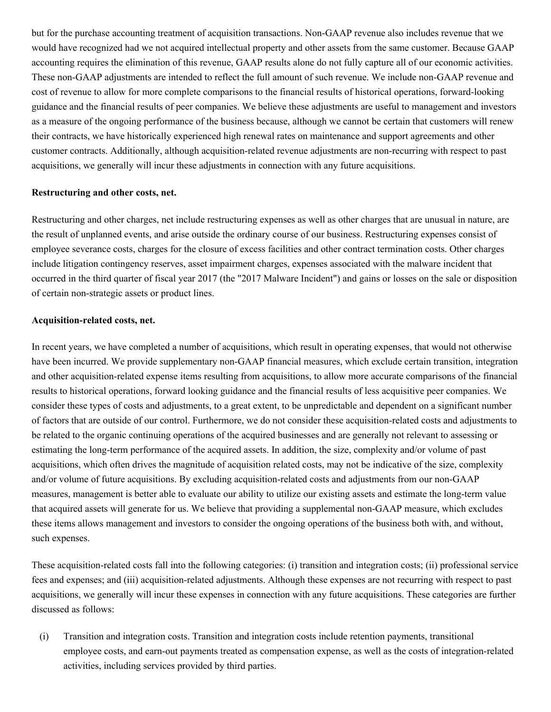but for the purchase accounting treatment of acquisition transactions. Non-GAAP revenue also includes revenue that we would have recognized had we not acquired intellectual property and other assets from the same customer. Because GAAP accounting requires the elimination of this revenue, GAAP results alone do not fully capture all of our economic activities. These non-GAAP adjustments are intended to reflect the full amount of such revenue. We include non-GAAP revenue and cost of revenue to allow for more complete comparisons to the financial results of historical operations, forward-looking guidance and the financial results of peer companies. We believe these adjustments are useful to management and investors as a measure of the ongoing performance of the business because, although we cannot be certain that customers will renew their contracts, we have historically experienced high renewal rates on maintenance and support agreements and other customer contracts. Additionally, although acquisition-related revenue adjustments are non-recurring with respect to past acquisitions, we generally will incur these adjustments in connection with any future acquisitions.

#### **Restructuring and other costs, net.**

Restructuring and other charges, net include restructuring expenses as well as other charges that are unusual in nature, are the result of unplanned events, and arise outside the ordinary course of our business. Restructuring expenses consist of employee severance costs, charges for the closure of excess facilities and other contract termination costs. Other charges include litigation contingency reserves, asset impairment charges, expenses associated with the malware incident that occurred in the third quarter of fiscal year 2017 (the "2017 Malware Incident") and gains or losses on the sale or disposition of certain non-strategic assets or product lines.

#### **Acquisition-related costs, net.**

In recent years, we have completed a number of acquisitions, which result in operating expenses, that would not otherwise have been incurred. We provide supplementary non-GAAP financial measures, which exclude certain transition, integration and other acquisition-related expense items resulting from acquisitions, to allow more accurate comparisons of the financial results to historical operations, forward looking guidance and the financial results of less acquisitive peer companies. We consider these types of costs and adjustments, to a great extent, to be unpredictable and dependent on a significant number of factors that are outside of our control. Furthermore, we do not consider these acquisition-related costs and adjustments to be related to the organic continuing operations of the acquired businesses and are generally not relevant to assessing or estimating the long-term performance of the acquired assets. In addition, the size, complexity and/or volume of past acquisitions, which often drives the magnitude of acquisition related costs, may not be indicative of the size, complexity and/or volume of future acquisitions. By excluding acquisition-related costs and adjustments from our non-GAAP measures, management is better able to evaluate our ability to utilize our existing assets and estimate the long-term value that acquired assets will generate for us. We believe that providing a supplemental non-GAAP measure, which excludes these items allows management and investors to consider the ongoing operations of the business both with, and without, such expenses.

These acquisition-related costs fall into the following categories: (i) transition and integration costs; (ii) professional service fees and expenses; and (iii) acquisition-related adjustments. Although these expenses are not recurring with respect to past acquisitions, we generally will incur these expenses in connection with any future acquisitions. These categories are further discussed as follows:

(i) Transition and integration costs. Transition and integration costs include retention payments, transitional employee costs, and earn-out payments treated as compensation expense, as well as the costs of integration-related activities, including services provided by third parties.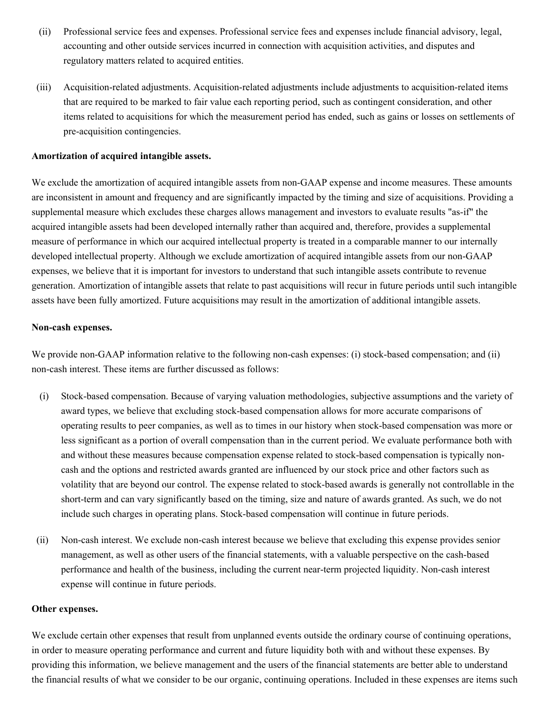- (ii) Professional service fees and expenses. Professional service fees and expenses include financial advisory, legal, accounting and other outside services incurred in connection with acquisition activities, and disputes and regulatory matters related to acquired entities.
- (iii) Acquisition-related adjustments. Acquisition-related adjustments include adjustments to acquisition-related items that are required to be marked to fair value each reporting period, such as contingent consideration, and other items related to acquisitions for which the measurement period has ended, such as gains or losses on settlements of pre-acquisition contingencies.

# **Amortization of acquired intangible assets.**

We exclude the amortization of acquired intangible assets from non-GAAP expense and income measures. These amounts are inconsistent in amount and frequency and are significantly impacted by the timing and size of acquisitions. Providing a supplemental measure which excludes these charges allows management and investors to evaluate results "as-if" the acquired intangible assets had been developed internally rather than acquired and, therefore, provides a supplemental measure of performance in which our acquired intellectual property is treated in a comparable manner to our internally developed intellectual property. Although we exclude amortization of acquired intangible assets from our non-GAAP expenses, we believe that it is important for investors to understand that such intangible assets contribute to revenue generation. Amortization of intangible assets that relate to past acquisitions will recur in future periods until such intangible assets have been fully amortized. Future acquisitions may result in the amortization of additional intangible assets.

# **Non-cash expenses.**

We provide non-GAAP information relative to the following non-cash expenses: (i) stock-based compensation; and (ii) non-cash interest. These items are further discussed as follows:

- (i) Stock-based compensation. Because of varying valuation methodologies, subjective assumptions and the variety of award types, we believe that excluding stock-based compensation allows for more accurate comparisons of operating results to peer companies, as well as to times in our history when stock-based compensation was more or less significant as a portion of overall compensation than in the current period. We evaluate performance both with and without these measures because compensation expense related to stock-based compensation is typically noncash and the options and restricted awards granted are influenced by our stock price and other factors such as volatility that are beyond our control. The expense related to stock-based awards is generally not controllable in the short-term and can vary significantly based on the timing, size and nature of awards granted. As such, we do not include such charges in operating plans. Stock-based compensation will continue in future periods.
- (ii) Non-cash interest. We exclude non-cash interest because we believe that excluding this expense provides senior management, as well as other users of the financial statements, with a valuable perspective on the cash-based performance and health of the business, including the current near-term projected liquidity. Non-cash interest expense will continue in future periods.

# **Other expenses.**

We exclude certain other expenses that result from unplanned events outside the ordinary course of continuing operations, in order to measure operating performance and current and future liquidity both with and without these expenses. By providing this information, we believe management and the users of the financial statements are better able to understand the financial results of what we consider to be our organic, continuing operations. Included in these expenses are items such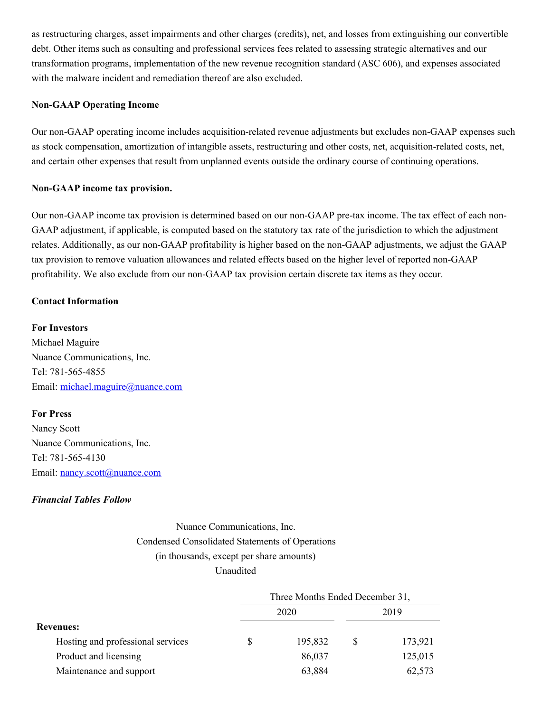as restructuring charges, asset impairments and other charges (credits), net, and losses from extinguishing our convertible debt. Other items such as consulting and professional services fees related to assessing strategic alternatives and our transformation programs, implementation of the new revenue recognition standard (ASC 606), and expenses associated with the malware incident and remediation thereof are also excluded.

# **Non-GAAP Operating Income**

Our non-GAAP operating income includes acquisition-related revenue adjustments but excludes non-GAAP expenses such as stock compensation, amortization of intangible assets, restructuring and other costs, net, acquisition-related costs, net, and certain other expenses that result from unplanned events outside the ordinary course of continuing operations.

## **Non-GAAP income tax provision.**

Our non-GAAP income tax provision is determined based on our non-GAAP pre-tax income. The tax effect of each non-GAAP adjustment, if applicable, is computed based on the statutory tax rate of the jurisdiction to which the adjustment relates. Additionally, as our non-GAAP profitability is higher based on the non-GAAP adjustments, we adjust the GAAP tax provision to remove valuation allowances and related effects based on the higher level of reported non-GAAP profitability. We also exclude from our non-GAAP tax provision certain discrete tax items as they occur.

## **Contact Information**

**For Investors** Michael Maguire Nuance Communications, Inc. Tel: 781-565-4855 Email: [michael.maguire@nuance.com](mailto:michael.maguire@nuance.com)

#### **For Press**

Nancy Scott Nuance Communications, Inc. Tel: 781-565-4130 Email: [nancy.scott@nuance.com](mailto:nancy.scott@nuance.com)

# *Financial Tables Follow*

# Nuance Communications, Inc. Condensed Consolidated Statements of Operations (in thousands, except per share amounts) Unaudited

|                                   | Three Months Ended December 31, |         |      |         |
|-----------------------------------|---------------------------------|---------|------|---------|
|                                   | 2020                            |         | 2019 |         |
| <b>Revenues:</b>                  |                                 |         |      |         |
| Hosting and professional services |                                 | 195,832 |      | 173,921 |
| Product and licensing             |                                 | 86,037  |      | 125,015 |
| Maintenance and support           |                                 | 63,884  |      | 62,573  |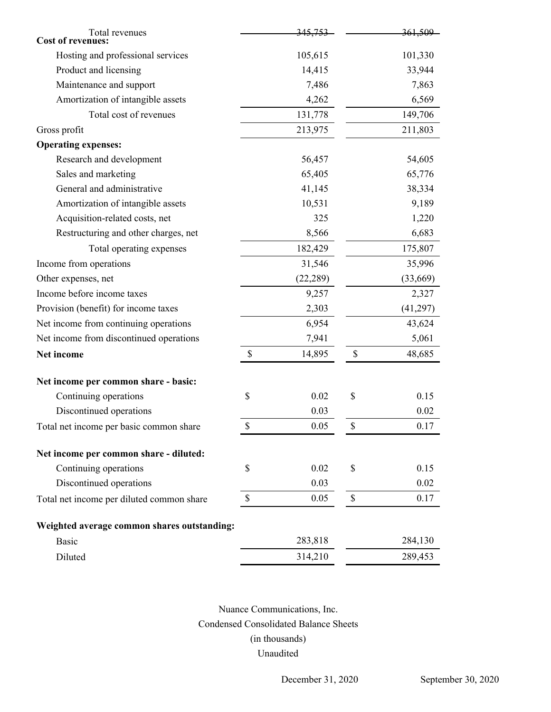| Total revenues<br><b>Cost of revenues:</b>  | 345,753      |              | 361,509   |
|---------------------------------------------|--------------|--------------|-----------|
| Hosting and professional services           | 105,615      |              | 101,330   |
| Product and licensing                       | 14,415       |              | 33,944    |
| Maintenance and support                     | 7,486        |              | 7,863     |
| Amortization of intangible assets           | 4,262        |              | 6,569     |
| Total cost of revenues                      | 131,778      |              | 149,706   |
| Gross profit                                | 213,975      |              | 211,803   |
| <b>Operating expenses:</b>                  |              |              |           |
| Research and development                    | 56,457       |              | 54,605    |
| Sales and marketing                         | 65,405       |              | 65,776    |
| General and administrative                  | 41,145       |              | 38,334    |
| Amortization of intangible assets           | 10,531       |              | 9,189     |
| Acquisition-related costs, net              | 325          |              | 1,220     |
| Restructuring and other charges, net        | 8,566        |              | 6,683     |
| Total operating expenses                    | 182,429      |              | 175,807   |
| Income from operations                      | 31,546       |              | 35,996    |
| Other expenses, net                         | (22, 289)    |              | (33,669)  |
| Income before income taxes                  | 9,257        |              | 2,327     |
| Provision (benefit) for income taxes        | 2,303        |              | (41, 297) |
| Net income from continuing operations       | 6,954        |              | 43,624    |
| Net income from discontinued operations     | 7,941        |              | 5,061     |
| Net income                                  | \$<br>14,895 | $\$$         | 48,685    |
| Net income per common share - basic:        |              |              |           |
| Continuing operations                       | \$<br>0.02   | \$           | 0.15      |
| Discontinued operations                     | 0.03         |              | 0.02      |
| Total net income per basic common share     | \$<br>0.05   | \$           | 0.17      |
| Net income per common share - diluted:      |              |              |           |
| Continuing operations                       | \$<br>0.02   | $\mathbb{S}$ | 0.15      |
| Discontinued operations                     | 0.03         |              | 0.02      |
| Total net income per diluted common share   | \$<br>0.05   | \$           | 0.17      |
| Weighted average common shares outstanding: |              |              |           |
| <b>Basic</b>                                | 283,818      |              | 284,130   |
| Diluted                                     | 314,210      |              | 289,453   |

Nuance Communications, Inc. Condensed Consolidated Balance Sheets (in thousands) Unaudited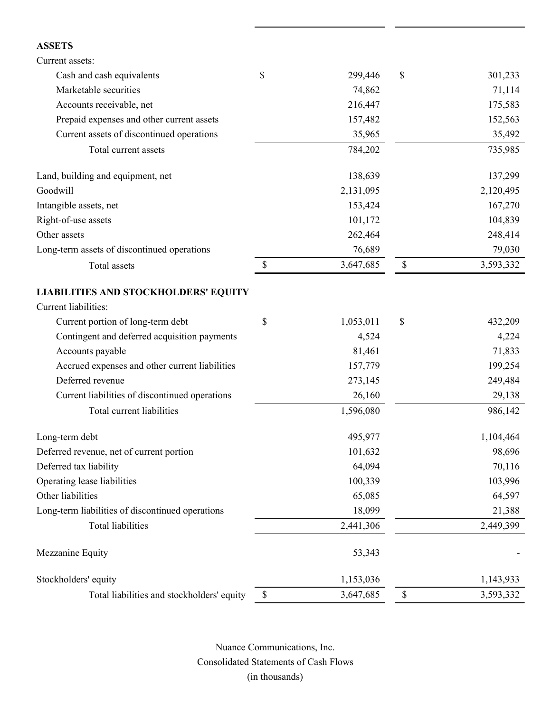# **ASSETS**

| Current assets:                                                     |                           |           |      |           |
|---------------------------------------------------------------------|---------------------------|-----------|------|-----------|
| Cash and cash equivalents                                           | \$                        | 299,446   | \$   | 301,233   |
| Marketable securities                                               |                           | 74,862    |      | 71,114    |
| Accounts receivable, net                                            |                           | 216,447   |      | 175,583   |
| Prepaid expenses and other current assets                           |                           | 157,482   |      | 152,563   |
| Current assets of discontinued operations                           |                           | 35,965    |      | 35,492    |
| Total current assets                                                |                           | 784,202   |      | 735,985   |
| Land, building and equipment, net                                   |                           | 138,639   |      | 137,299   |
| Goodwill                                                            |                           | 2,131,095 |      | 2,120,495 |
| Intangible assets, net                                              |                           | 153,424   |      | 167,270   |
| Right-of-use assets                                                 |                           | 101,172   |      | 104,839   |
| Other assets                                                        |                           | 262,464   |      | 248,414   |
| Long-term assets of discontinued operations                         |                           | 76,689    |      | 79,030    |
| Total assets                                                        | \$                        | 3,647,685 | $\$$ | 3,593,332 |
| <b>LIABILITIES AND STOCKHOLDERS' EQUITY</b><br>Current liabilities: |                           |           |      |           |
| Current portion of long-term debt                                   | \$                        | 1,053,011 | \$   | 432,209   |
| Contingent and deferred acquisition payments                        |                           | 4,524     |      | 4,224     |
| Accounts payable                                                    |                           | 81,461    |      | 71,833    |
| Accrued expenses and other current liabilities                      |                           | 157,779   |      | 199,254   |
| Deferred revenue                                                    |                           | 273,145   |      | 249,484   |
| Current liabilities of discontinued operations                      |                           | 26,160    |      | 29,138    |
| Total current liabilities                                           |                           | 1,596,080 |      | 986,142   |
| Long-term debt                                                      |                           | 495,977   |      | 1,104,464 |
| Deferred revenue, net of current portion                            |                           | 101,632   |      | 98,696    |
| Deferred tax liability                                              |                           | 64,094    |      | 70,116    |
| Operating lease liabilities                                         |                           | 100,339   |      | 103,996   |
| Other liabilities                                                   |                           | 65,085    |      | 64,597    |
| Long-term liabilities of discontinued operations                    |                           | 18,099    |      | 21,388    |
| <b>Total liabilities</b>                                            |                           | 2,441,306 |      | 2,449,399 |
| Mezzanine Equity                                                    |                           | 53,343    |      |           |
| Stockholders' equity                                                |                           | 1,153,036 |      | 1,143,933 |
| Total liabilities and stockholders' equity                          | $\boldsymbol{\mathsf{S}}$ | 3,647,685 | $\$$ | 3,593,332 |

Nuance Communications, Inc. Consolidated Statements of Cash Flows (in thousands)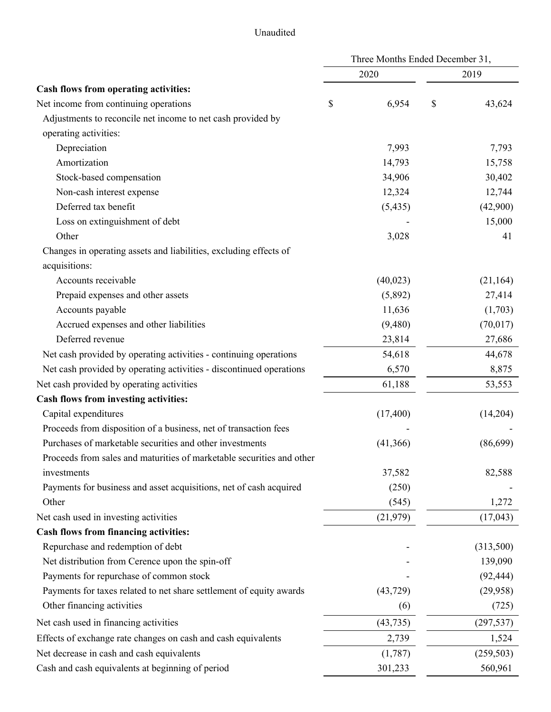# Unaudited

|                                                                       | Three Months Ended December 31, |              |  |
|-----------------------------------------------------------------------|---------------------------------|--------------|--|
|                                                                       | 2020                            | 2019         |  |
| Cash flows from operating activities:                                 |                                 |              |  |
| Net income from continuing operations                                 | \$<br>6,954                     | \$<br>43,624 |  |
| Adjustments to reconcile net income to net cash provided by           |                                 |              |  |
| operating activities:                                                 |                                 |              |  |
| Depreciation                                                          | 7,993                           | 7,793        |  |
| Amortization                                                          | 14,793                          | 15,758       |  |
| Stock-based compensation                                              | 34,906                          | 30,402       |  |
| Non-cash interest expense                                             | 12,324                          | 12,744       |  |
| Deferred tax benefit                                                  | (5, 435)                        | (42,900)     |  |
| Loss on extinguishment of debt                                        |                                 | 15,000       |  |
| Other                                                                 | 3,028                           | 41           |  |
| Changes in operating assets and liabilities, excluding effects of     |                                 |              |  |
| acquisitions:                                                         |                                 |              |  |
| Accounts receivable                                                   | (40, 023)                       | (21, 164)    |  |
| Prepaid expenses and other assets                                     | (5,892)                         | 27,414       |  |
| Accounts payable                                                      | 11,636                          | (1,703)      |  |
| Accrued expenses and other liabilities                                | (9,480)                         | (70, 017)    |  |
| Deferred revenue                                                      | 23,814                          | 27,686       |  |
| Net cash provided by operating activities - continuing operations     | 54,618                          | 44,678       |  |
| Net cash provided by operating activities - discontinued operations   | 6,570                           | 8,875        |  |
| Net cash provided by operating activities                             | 61,188                          | 53,553       |  |
| Cash flows from investing activities:                                 |                                 |              |  |
| Capital expenditures                                                  | (17, 400)                       | (14,204)     |  |
| Proceeds from disposition of a business, net of transaction fees      |                                 |              |  |
| Purchases of marketable securities and other investments              | (41,366)                        | (86,699)     |  |
| Proceeds from sales and maturities of marketable securities and other |                                 |              |  |
| investments                                                           | 37,582                          | 82,588       |  |
| Payments for business and asset acquisitions, net of cash acquired    | (250)                           |              |  |
| Other                                                                 | (545)                           | 1,272        |  |
| Net cash used in investing activities                                 | (21, 979)                       | (17,043)     |  |
| Cash flows from financing activities:                                 |                                 |              |  |
| Repurchase and redemption of debt                                     |                                 | (313,500)    |  |
| Net distribution from Cerence upon the spin-off                       |                                 | 139,090      |  |
| Payments for repurchase of common stock                               |                                 | (92, 444)    |  |
| Payments for taxes related to net share settlement of equity awards   | (43, 729)                       | (29,958)     |  |
| Other financing activities                                            | (6)                             | (725)        |  |
| Net cash used in financing activities                                 | (43, 735)                       | (297, 537)   |  |
| Effects of exchange rate changes on cash and cash equivalents         | 2,739                           | 1,524        |  |
| Net decrease in cash and cash equivalents                             | (1,787)                         | (259, 503)   |  |
| Cash and cash equivalents at beginning of period                      | 301,233                         | 560,961      |  |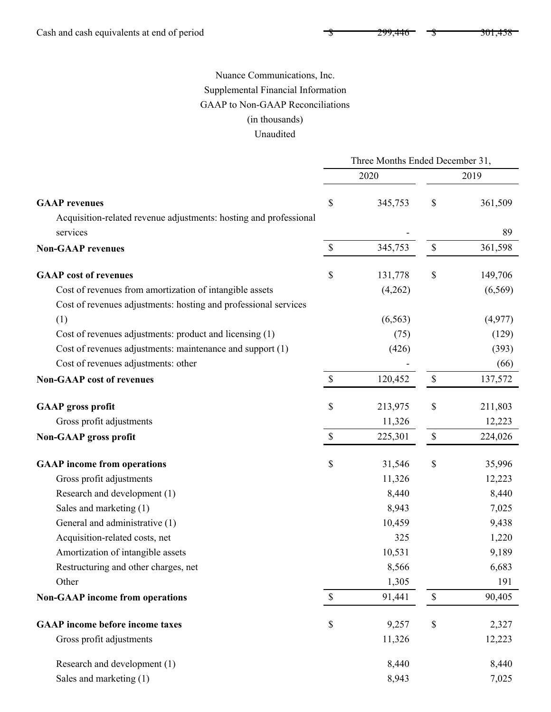# Nuance Communications, Inc. Supplemental Financial Information GAAP to Non-GAAP Reconciliations (in thousands) Unaudited

Three Months Ended December 31, 2020 2019 **GAAP revenues** \$ 345,753 \$ 361,509 Acquisition-related revenue adjustments: hosting and professional services and the services of the services of the services of the services of  $\sim$  89 **Non-GAAP revenues** \$ 345,753 \$ 361,598 **GAAP cost of revenues** \$ 131,778 \$ 149,706 Cost of revenues from amortization of intangible assets (4,262) (6,569) Cost of revenues adjustments: hosting and professional services (1)  $(6,563)$   $(4,977)$ Cost of revenues adjustments: product and licensing (1) (75) (129) Cost of revenues adjustments: maintenance and support (1) (426) (393) Cost of revenues adjustments: other  $(66)$ **Non-GAAP cost of revenues** \$ 120,452 \$ 137,572 **GAAP gross profit** \$ 213,975 \$ 211,803 Gross profit adjustments and the contract of the contract of the contract of the contract of the contract of the contract of the contract of the contract of the contract of the contract of the contract of the contract of t **Non-GAAP gross profit** \$ 225,301 \$ 224,026 **GAAP income from operations** \$ 31,546 \$ 35,996 Gross profit adjustments 11,326 12,223 Research and development (1) 8,440 8,440 8,440 Sales and marketing (1) 8,943 7,025 General and administrative (1) 10,459 9,438 Acquisition-related costs, net 325 1,220 Amortization of intangible assets 10,531 9,189 Restructuring and other charges, net 8,566 6,683 Other 1,305 191 **Non-GAAP** income from operations \$ 91,441 \$ 90,405 **GAAP income before income taxes** \$ 9,257 \$ 2,327 Gross profit adjustments 11,326 12,223 Research and development (1) 8,440 8,440 8,440

Sales and marketing (1)  $8,943$  7,025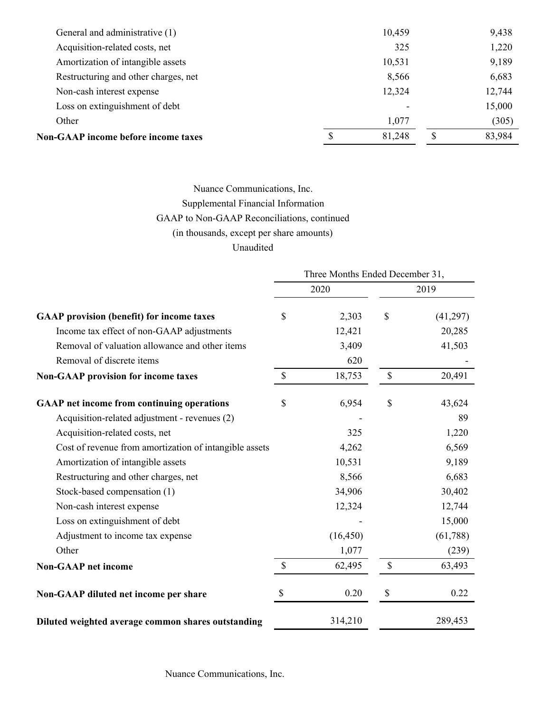| <b>Non-GAAP income before income taxes</b> | 81,248 | 83,984 |
|--------------------------------------------|--------|--------|
| Other                                      | 1.077  | (305)  |
| Loss on extinguishment of debt             |        | 15,000 |
| Non-cash interest expense                  | 12,324 | 12,744 |
| Restructuring and other charges, net       | 8,566  | 6,683  |
| Amortization of intangible assets          | 10,531 | 9,189  |
| Acquisition-related costs, net             | 325    | 1,220  |
| General and administrative (1)             | 10,459 | 9,438  |
|                                            |        |        |

# Nuance Communications, Inc. Supplemental Financial Information GAAP to Non-GAAP Reconciliations, continued (in thousands, except per share amounts) Unaudited

|                                                        | Three Months Ended December 31, |           |                           |          |
|--------------------------------------------------------|---------------------------------|-----------|---------------------------|----------|
|                                                        |                                 | 2020      |                           | 2019     |
| <b>GAAP</b> provision (benefit) for income taxes       |                                 | 2,303     | \$                        | (41,297) |
| Income tax effect of non-GAAP adjustments              |                                 | 12,421    |                           | 20,285   |
| Removal of valuation allowance and other items         |                                 | 3,409     |                           | 41,503   |
| Removal of discrete items                              |                                 | 620       |                           |          |
| <b>Non-GAAP provision for income taxes</b>             | $\mathcal{S}$                   | 18,753    | \$                        | 20,491   |
| <b>GAAP</b> net income from continuing operations      | \$                              | 6,954     | \$                        | 43,624   |
| Acquisition-related adjustment - revenues (2)          |                                 |           |                           | 89       |
| Acquisition-related costs, net                         |                                 | 325       |                           | 1,220    |
| Cost of revenue from amortization of intangible assets |                                 | 4,262     |                           | 6,569    |
| Amortization of intangible assets                      |                                 | 10,531    |                           | 9,189    |
| Restructuring and other charges, net                   |                                 | 8,566     |                           | 6,683    |
| Stock-based compensation (1)                           |                                 | 34,906    |                           | 30,402   |
| Non-cash interest expense                              |                                 | 12,324    |                           | 12,744   |
| Loss on extinguishment of debt                         |                                 |           |                           | 15,000   |
| Adjustment to income tax expense                       |                                 | (16, 450) |                           | (61,788) |
| Other                                                  |                                 | 1,077     |                           | (239)    |
| <b>Non-GAAP</b> net income                             | $\boldsymbol{\mathsf{S}}$       | 62,495    | $\boldsymbol{\mathsf{S}}$ | 63,493   |
| Non-GAAP diluted net income per share                  | \$                              | 0.20      | \$                        | 0.22     |
| Diluted weighted average common shares outstanding     |                                 | 314,210   |                           | 289,453  |